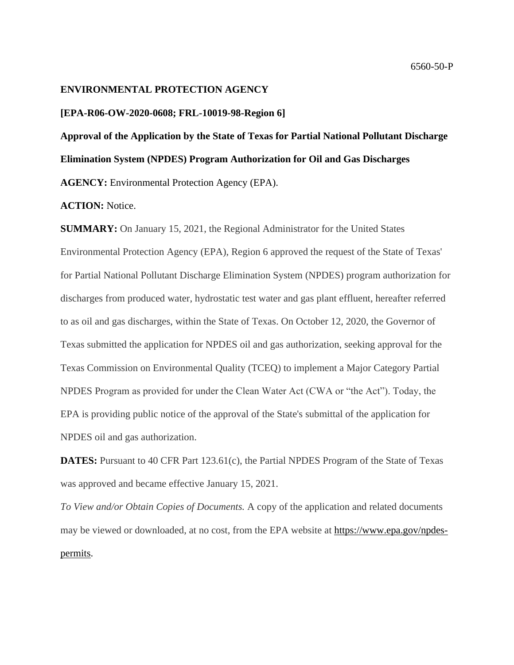#### **ENVIRONMENTAL PROTECTION AGENCY**

#### **[EPA-R06-OW-2020-0608; FRL-10019-98-Region 6]**

**Approval of the Application by the State of Texas for Partial National Pollutant Discharge Elimination System (NPDES) Program Authorization for Oil and Gas Discharges AGENCY:** Environmental Protection Agency (EPA).

#### **ACTION:** Notice.

**SUMMARY:** On January 15, 2021, the Regional Administrator for the United States Environmental Protection Agency (EPA), Region 6 approved the request of the State of Texas' for Partial National Pollutant Discharge Elimination System (NPDES) program authorization for discharges from produced water, hydrostatic test water and gas plant effluent, hereafter referred to as oil and gas discharges, within the State of Texas. On October 12, 2020, the Governor of Texas submitted the application for NPDES oil and gas authorization, seeking approval for the Texas Commission on Environmental Quality (TCEQ) to implement a Major Category Partial NPDES Program as provided for under the Clean Water Act (CWA or "the Act"). Today, the EPA is providing public notice of the approval of the State's submittal of the application for NPDES oil and gas authorization.

**DATES:** Pursuant to 40 CFR Part 123.61(c), the Partial NPDES Program of the State of Texas was approved and became effective January 15, 2021.

*To View and/or Obtain Copies of Documents.* A copy of the application and related documents may be viewed or downloaded, at no cost, from the EPA website at [https://www.epa.gov/npdes](https://www.epa.gov/npdes-permits)[permits.](https://www.epa.gov/npdes-permits)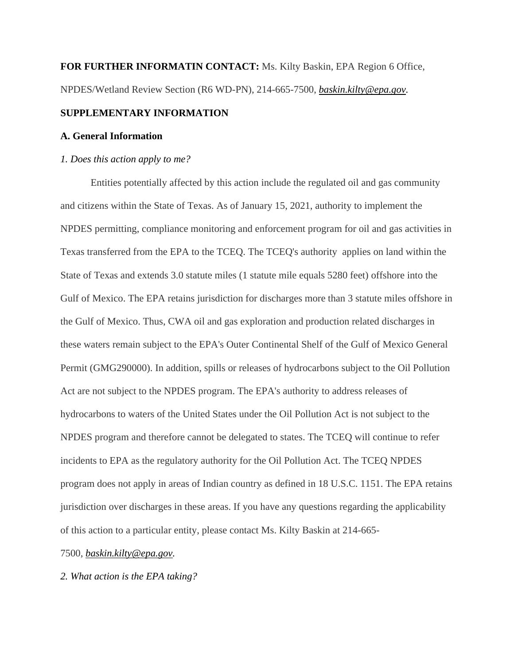# **FOR FURTHER INFORMATIN CONTACT:** Ms. Kilty Baskin, EPA Region 6 Office, NPDES/Wetland Review Section (R6 WD-PN), 214-665-7500, *[baskin.kilty@epa.gov.](mailto:baskin.kilty@epa.gov)*

## **SUPPLEMENTARY INFORMATION**

#### **A. General Information**

#### *1. Does this action apply to me?*

Entities potentially affected by this action include the regulated oil and gas community and citizens within the State of Texas. As of January 15, 2021, authority to implement the NPDES permitting, compliance monitoring and enforcement program for oil and gas activities in Texas transferred from the EPA to the TCEQ. The TCEQ's authority applies on land within the State of Texas and extends 3.0 statute miles (1 statute mile equals 5280 feet) offshore into the Gulf of Mexico. The EPA retains jurisdiction for discharges more than 3 statute miles offshore in the Gulf of Mexico. Thus, CWA oil and gas exploration and production related discharges in these waters remain subject to the EPA's Outer Continental Shelf of the Gulf of Mexico General Permit (GMG290000). In addition, spills or releases of hydrocarbons subject to the Oil Pollution Act are not subject to the NPDES program. The EPA's authority to address releases of hydrocarbons to waters of the United States under the Oil Pollution Act is not subject to the NPDES program and therefore cannot be delegated to states. The TCEQ will continue to refer incidents to EPA as the regulatory authority for the Oil Pollution Act. The TCEQ NPDES program does not apply in areas of Indian country as defined in 18 U.S.C. 1151. The EPA retains jurisdiction over discharges in these areas. If you have any questions regarding the applicability of this action to a particular entity, please contact Ms. Kilty Baskin at 214-665-

7500, *[baskin.kilty@epa.gov.](mailto:baskin.kilty@epa.gov)*

*2. What action is the EPA taking?*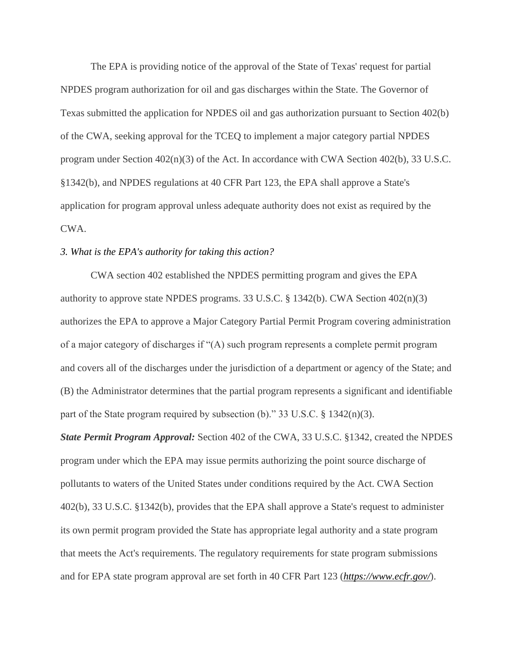The EPA is providing notice of the approval of the State of Texas' request for partial NPDES program authorization for oil and gas discharges within the State. The Governor of Texas submitted the application for NPDES oil and gas authorization pursuant to Section 402(b) of the CWA, seeking approval for the TCEQ to implement a major category partial NPDES program under Section 402(n)(3) of the Act. In accordance with CWA Section 402(b), 33 U.S.C. §1342(b), and NPDES regulations at 40 CFR Part 123, the EPA shall approve a State's application for program approval unless adequate authority does not exist as required by the CWA.

### *3. What is the EPA's authority for taking this action?*

CWA section 402 established the NPDES permitting program and gives the EPA authority to approve state NPDES programs. 33 U.S.C. § 1342(b). CWA Section 402(n)(3) authorizes the EPA to approve a Major Category Partial Permit Program covering administration of a major category of discharges if "(A) such program represents a complete permit program and covers all of the discharges under the jurisdiction of a department or agency of the State; and (B) the Administrator determines that the partial program represents a significant and identifiable part of the State program required by subsection (b)." 33 U.S.C.  $\S$  1342(n)(3).

*State Permit Program Approval:* Section 402 of the CWA, 33 U.S.C. §1342, created the NPDES program under which the EPA may issue permits authorizing the point source discharge of pollutants to waters of the United States under conditions required by the Act. CWA Section 402(b), 33 U.S.C. §1342(b), provides that the EPA shall approve a State's request to administer its own permit program provided the State has appropriate legal authority and a state program that meets the Act's requirements. The regulatory requirements for state program submissions and for EPA state program approval are set forth in 40 CFR Part 123 (*<https://www.ecfr.gov/>*).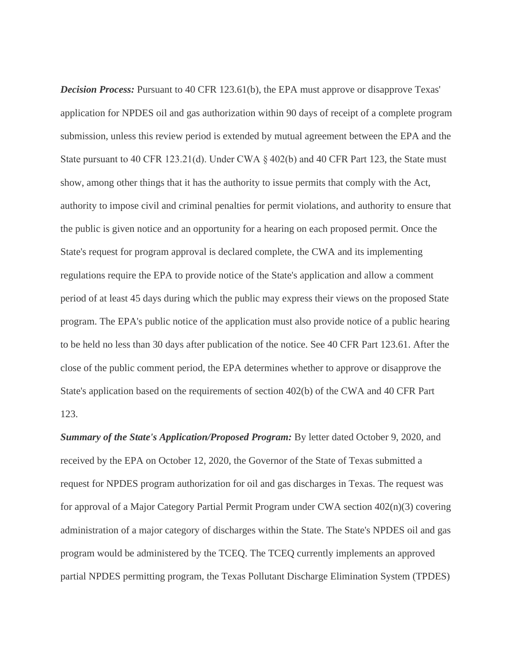*Decision Process:* Pursuant to 40 CFR 123.61(b), the EPA must approve or disapprove Texas' application for NPDES oil and gas authorization within 90 days of receipt of a complete program submission, unless this review period is extended by mutual agreement between the EPA and the State pursuant to 40 CFR 123.21(d). Under CWA § 402(b) and 40 CFR Part 123, the State must show, among other things that it has the authority to issue permits that comply with the Act, authority to impose civil and criminal penalties for permit violations, and authority to ensure that the public is given notice and an opportunity for a hearing on each proposed permit. Once the State's request for program approval is declared complete, the CWA and its implementing regulations require the EPA to provide notice of the State's application and allow a comment period of at least 45 days during which the public may express their views on the proposed State program. The EPA's public notice of the application must also provide notice of a public hearing to be held no less than 30 days after publication of the notice. See 40 CFR Part 123.61. After the close of the public comment period, the EPA determines whether to approve or disapprove the State's application based on the requirements of section 402(b) of the CWA and 40 CFR Part 123.

*Summary of the State's Application/Proposed Program:* By letter dated October 9, 2020, and received by the EPA on October 12, 2020, the Governor of the State of Texas submitted a request for NPDES program authorization for oil and gas discharges in Texas. The request was for approval of a Major Category Partial Permit Program under CWA section 402(n)(3) covering administration of a major category of discharges within the State. The State's NPDES oil and gas program would be administered by the TCEQ. The TCEQ currently implements an approved partial NPDES permitting program, the Texas Pollutant Discharge Elimination System (TPDES)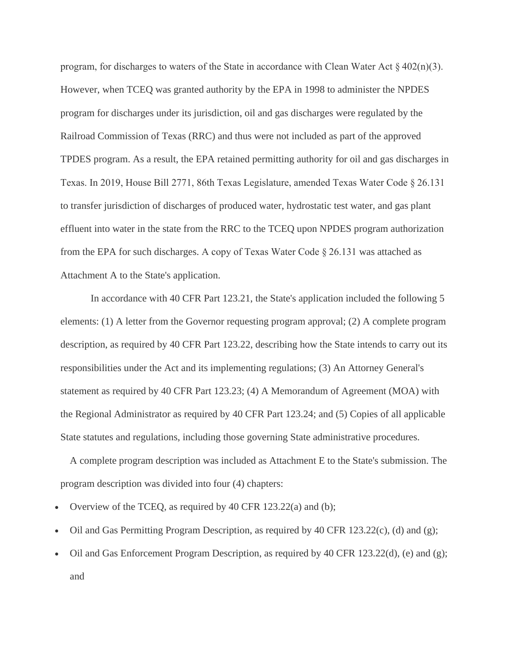program, for discharges to waters of the State in accordance with Clean Water Act § 402(n)(3). However, when TCEQ was granted authority by the EPA in 1998 to administer the NPDES program for discharges under its jurisdiction, oil and gas discharges were regulated by the Railroad Commission of Texas (RRC) and thus were not included as part of the approved TPDES program. As a result, the EPA retained permitting authority for oil and gas discharges in Texas. In 2019, House Bill 2771, 86th Texas Legislature, amended Texas Water Code § 26.131 to transfer jurisdiction of discharges of produced water, hydrostatic test water, and gas plant effluent into water in the state from the RRC to the TCEQ upon NPDES program authorization from the EPA for such discharges. A copy of Texas Water Code § 26.131 was attached as Attachment A to the State's application.

In accordance with 40 CFR Part 123.21, the State's application included the following 5 elements: (1) A letter from the Governor requesting program approval; (2) A complete program description, as required by 40 CFR Part 123.22, describing how the State intends to carry out its responsibilities under the Act and its implementing regulations; (3) An Attorney General's statement as required by 40 CFR Part 123.23; (4) A Memorandum of Agreement (MOA) with the Regional Administrator as required by 40 CFR Part 123.24; and (5) Copies of all applicable State statutes and regulations, including those governing State administrative procedures.

A complete program description was included as Attachment E to the State's submission. The program description was divided into four (4) chapters:

- Overview of the TCEQ, as required by 40 CFR 123.22(a) and (b);
- Oil and Gas Permitting Program Description, as required by 40 CFR 123.22(c), (d) and (g);
- Oil and Gas Enforcement Program Description, as required by 40 CFR 123.22(d), (e) and (g); and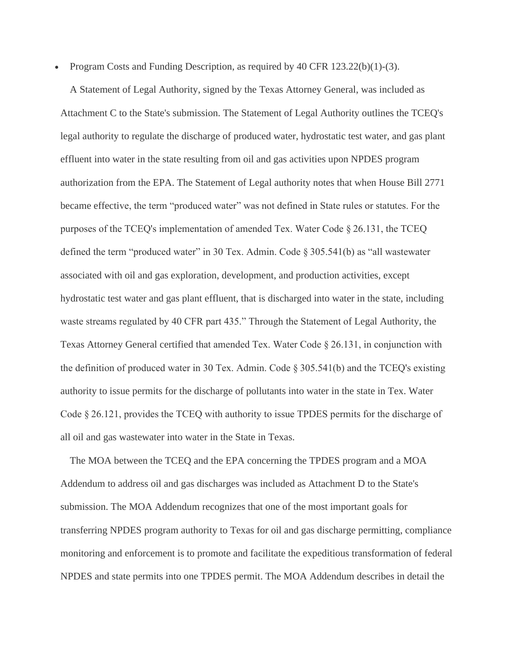• Program Costs and Funding Description, as required by 40 CFR 123.22(b)(1)-(3).

A Statement of Legal Authority, signed by the Texas Attorney General, was included as Attachment C to the State's submission. The Statement of Legal Authority outlines the TCEQ's legal authority to regulate the discharge of produced water, hydrostatic test water, and gas plant effluent into water in the state resulting from oil and gas activities upon NPDES program authorization from the EPA. The Statement of Legal authority notes that when House Bill 2771 became effective, the term "produced water" was not defined in State rules or statutes. For the purposes of the TCEQ's implementation of amended Tex. Water Code § 26.131, the TCEQ defined the term "produced water" in 30 Tex. Admin. Code § 305.541(b) as "all wastewater associated with oil and gas exploration, development, and production activities, except hydrostatic test water and gas plant effluent, that is discharged into water in the state, including waste streams regulated by 40 CFR part 435." Through the Statement of Legal Authority, the Texas Attorney General certified that amended Tex. Water Code § 26.131, in conjunction with the definition of produced water in 30 Tex. Admin. Code § 305.541(b) and the TCEQ's existing authority to issue permits for the discharge of pollutants into water in the state in Tex. Water Code § 26.121, provides the TCEQ with authority to issue TPDES permits for the discharge of all oil and gas wastewater into water in the State in Texas.

The MOA between the TCEQ and the EPA concerning the TPDES program and a MOA Addendum to address oil and gas discharges was included as Attachment D to the State's submission. The MOA Addendum recognizes that one of the most important goals for transferring NPDES program authority to Texas for oil and gas discharge permitting, compliance monitoring and enforcement is to promote and facilitate the expeditious transformation of federal NPDES and state permits into one TPDES permit. The MOA Addendum describes in detail the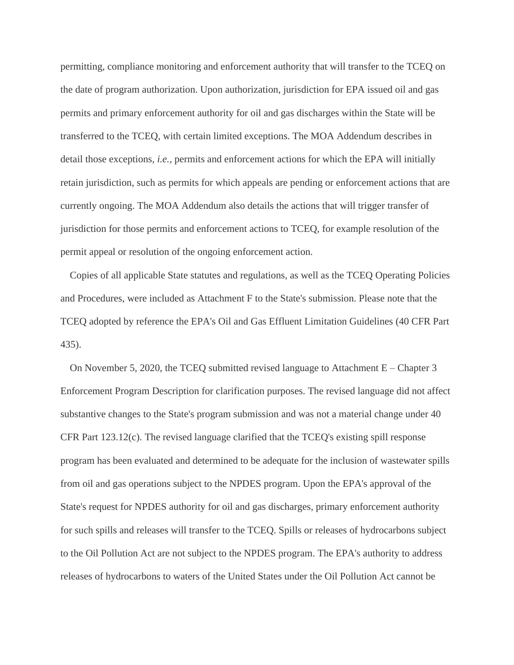permitting, compliance monitoring and enforcement authority that will transfer to the TCEQ on the date of program authorization. Upon authorization, jurisdiction for EPA issued oil and gas permits and primary enforcement authority for oil and gas discharges within the State will be transferred to the TCEQ, with certain limited exceptions. The MOA Addendum describes in detail those exceptions, *i.e.,* permits and enforcement actions for which the EPA will initially retain jurisdiction, such as permits for which appeals are pending or enforcement actions that are currently ongoing. The MOA Addendum also details the actions that will trigger transfer of jurisdiction for those permits and enforcement actions to TCEQ, for example resolution of the permit appeal or resolution of the ongoing enforcement action.

Copies of all applicable State statutes and regulations, as well as the TCEQ Operating Policies and Procedures, were included as Attachment F to the State's submission. Please note that the TCEQ adopted by reference the EPA's Oil and Gas Effluent Limitation Guidelines (40 CFR Part 435).

On November 5, 2020, the TCEQ submitted revised language to Attachment E – Chapter 3 Enforcement Program Description for clarification purposes. The revised language did not affect substantive changes to the State's program submission and was not a material change under 40 CFR Part 123.12(c). The revised language clarified that the TCEQ's existing spill response program has been evaluated and determined to be adequate for the inclusion of wastewater spills from oil and gas operations subject to the NPDES program. Upon the EPA's approval of the State's request for NPDES authority for oil and gas discharges, primary enforcement authority for such spills and releases will transfer to the TCEQ. Spills or releases of hydrocarbons subject to the Oil Pollution Act are not subject to the NPDES program. The EPA's authority to address releases of hydrocarbons to waters of the United States under the Oil Pollution Act cannot be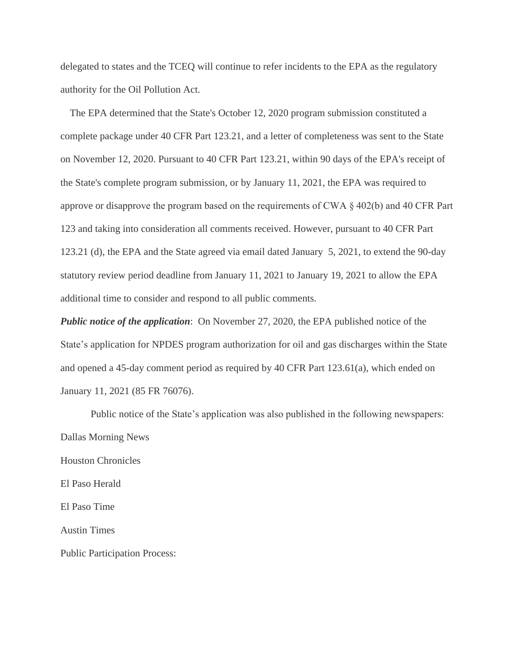delegated to states and the TCEQ will continue to refer incidents to the EPA as the regulatory authority for the Oil Pollution Act.

The EPA determined that the State's October 12, 2020 program submission constituted a complete package under 40 CFR Part 123.21, and a letter of completeness was sent to the State on November 12, 2020. Pursuant to 40 CFR Part 123.21, within 90 days of the EPA's receipt of the State's complete program submission, or by January 11, 2021, the EPA was required to approve or disapprove the program based on the requirements of CWA § 402(b) and 40 CFR Part 123 and taking into consideration all comments received. However, pursuant to 40 CFR Part 123.21 (d), the EPA and the State agreed via email dated January 5, 2021, to extend the 90-day statutory review period deadline from January 11, 2021 to January 19, 2021 to allow the EPA additional time to consider and respond to all public comments.

*Public notice of the application*: On November 27, 2020, the EPA published notice of the State's application for NPDES program authorization for oil and gas discharges within the State and opened a 45-day comment period as required by 40 CFR Part 123.61(a), which ended on January 11, 2021 (85 FR 76076).

Public notice of the State's application was also published in the following newspapers: Dallas Morning News Houston Chronicles El Paso Herald El Paso Time Austin Times Public Participation Process: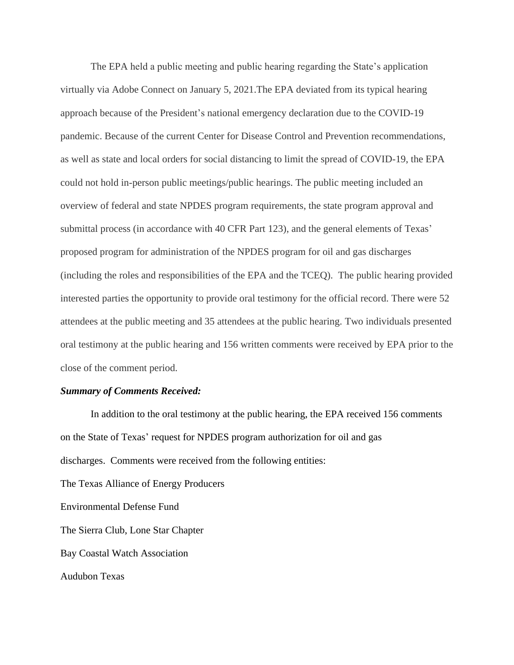The EPA held a public meeting and public hearing regarding the State's application virtually via Adobe Connect on January 5, 2021.The EPA deviated from its typical hearing approach because of the President's national emergency declaration due to the COVID-19 pandemic. Because of the current Center for Disease Control and Prevention recommendations, as well as state and local orders for social distancing to limit the spread of COVID-19, the EPA could not hold in-person public meetings/public hearings. The public meeting included an overview of federal and state NPDES program requirements, the state program approval and submittal process (in accordance with 40 CFR Part 123), and the general elements of Texas' proposed program for administration of the NPDES program for oil and gas discharges (including the roles and responsibilities of the EPA and the TCEQ). The public hearing provided interested parties the opportunity to provide oral testimony for the official record. There were 52 attendees at the public meeting and 35 attendees at the public hearing. Two individuals presented oral testimony at the public hearing and 156 written comments were received by EPA prior to the close of the comment period.

#### *Summary of Comments Received:*

In addition to the oral testimony at the public hearing, the EPA received 156 comments on the State of Texas' request for NPDES program authorization for oil and gas discharges. Comments were received from the following entities: The Texas Alliance of Energy Producers Environmental Defense Fund The Sierra Club, Lone Star Chapter Bay Coastal Watch Association Audubon Texas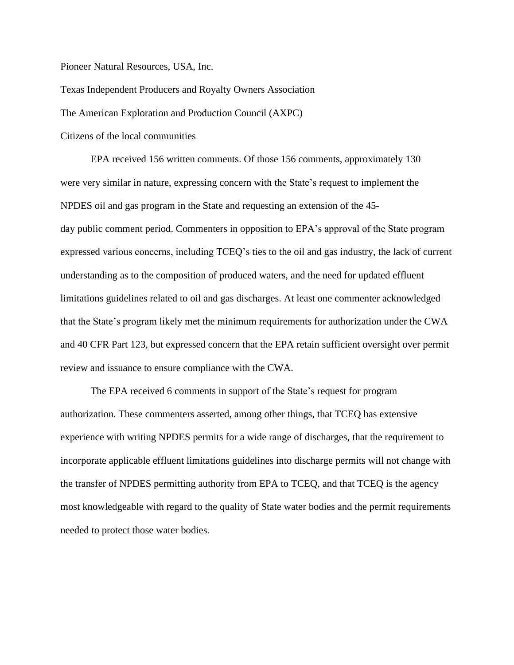Pioneer Natural Resources, USA, Inc.

Texas Independent Producers and Royalty Owners Association

The American Exploration and Production Council (AXPC)

Citizens of the local communities

EPA received 156 written comments. Of those 156 comments, approximately 130 were very similar in nature, expressing concern with the State's request to implement the NPDES oil and gas program in the State and requesting an extension of the 45 day public comment period. Commenters in opposition to EPA's approval of the State program expressed various concerns, including TCEQ's ties to the oil and gas industry, the lack of current understanding as to the composition of produced waters, and the need for updated effluent limitations guidelines related to oil and gas discharges. At least one commenter acknowledged that the State's program likely met the minimum requirements for authorization under the CWA and 40 CFR Part 123, but expressed concern that the EPA retain sufficient oversight over permit review and issuance to ensure compliance with the CWA.

The EPA received 6 comments in support of the State's request for program authorization. These commenters asserted, among other things, that TCEQ has extensive experience with writing NPDES permits for a wide range of discharges, that the requirement to incorporate applicable effluent limitations guidelines into discharge permits will not change with the transfer of NPDES permitting authority from EPA to TCEQ, and that TCEQ is the agency most knowledgeable with regard to the quality of State water bodies and the permit requirements needed to protect those water bodies.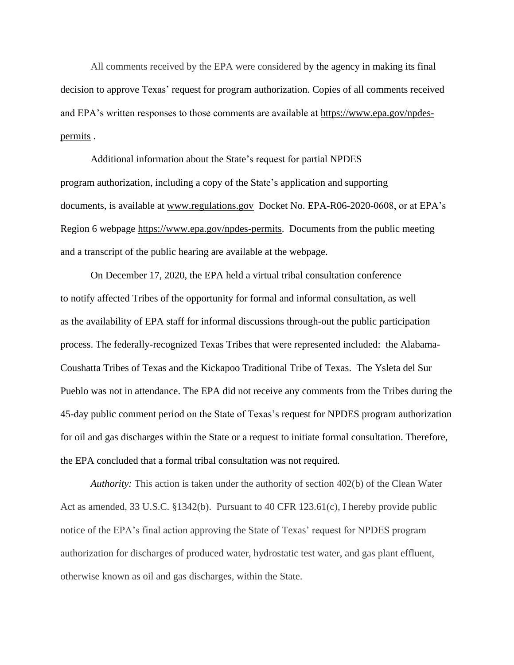All comments received by the EPA were considered by the agency in making its final decision to approve Texas' request for program authorization. Copies of all comments received and EPA's written responses to those comments are available at [https://www.epa.gov/npdes](https://www.epa.gov/npdes-permits)[permits](https://www.epa.gov/npdes-permits) .

Additional information about the State's request for partial NPDES program authorization, including a copy of the State's application and supporting documents, is available at [www.regulations.gov](http://www.regulations.gov/) Docket No. EPA-R06-2020-0608, or at EPA's Region 6 webpage [https://www.epa.gov/npdes-permits.](https://www.epa.gov/npdes-permits) Documents from the public meeting and a transcript of the public hearing are available at the webpage.

On December 17, 2020, the EPA held a virtual tribal consultation conference to notify affected Tribes of the opportunity for formal and informal consultation, as well as the availability of EPA staff for informal discussions through-out the public participation process. The federally-recognized Texas Tribes that were represented included: the Alabama-Coushatta Tribes of Texas and the Kickapoo Traditional Tribe of Texas. The Ysleta del Sur Pueblo was not in attendance. The EPA did not receive any comments from the Tribes during the 45-day public comment period on the State of Texas's request for NPDES program authorization for oil and gas discharges within the State or a request to initiate formal consultation. Therefore, the EPA concluded that a formal tribal consultation was not required.

*Authority:* This action is taken under the authority of section 402(b) of the Clean Water Act as amended, 33 U.S.C. §1342(b). Pursuant to 40 CFR 123.61(c), I hereby provide public notice of the EPA's final action approving the State of Texas' request for NPDES program authorization for discharges of produced water, hydrostatic test water, and gas plant effluent, otherwise known as oil and gas discharges, within the State.